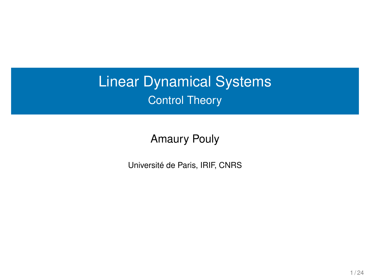# Linear Dynamical Systems Control Theory

Amaury Pouly

Université de Paris, IRIF, CNRS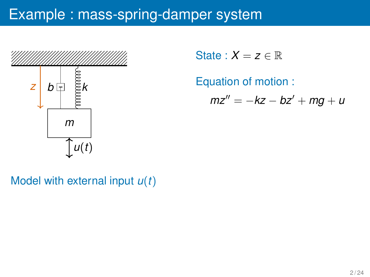

State :  $X = z \in \mathbb{R}$ 

Equation of motion :

 $mz'' = -kz - bz' + mq + u$ 

Model with external input *u*(*t*)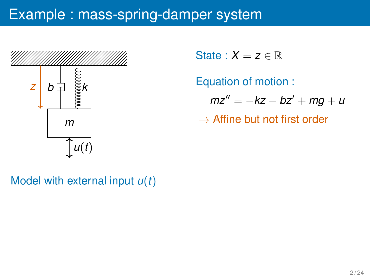

State :  $X = z \in \mathbb{R}$ 

Equation of motion :  $mz'' = -kz - bz' + mg + u$ 

 $\rightarrow$  Affine but not first order

Model with external input *u*(*t*)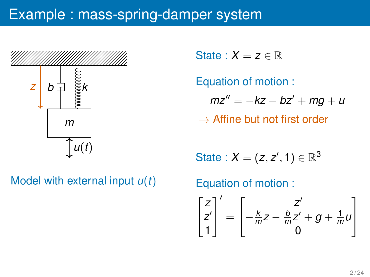

Model with external input *u*(*t*)

State :  $X = z \in \mathbb{R}$ 

Equation of motion :  $mz'' = -kz - bz' + mq + u$ 

 $\rightarrow$  Affine but not first order

$$
\text{State}: X = (z, z', 1) \in \mathbb{R}^3
$$

Equation of motion :  $\sqrt{ }$  $\overline{1}$ *z z* ′ 1 1  $\overline{1}$ ′ =  $\sqrt{ }$  $\overline{1}$ *z* ′ − *k*  $\frac{k}{m}Z-\frac{b}{n}$  $\frac{b}{m}z' + g + \frac{1}{m}$  $\frac{1}{m}$ *u* 0 1  $\overline{1}$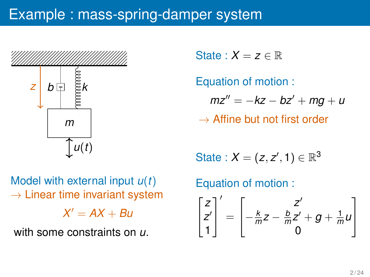

Model with external input *u*(*t*)  $\rightarrow$  Linear time invariant system  $X' = AX + Bu$ 

with some constraints on *u*.

State :  $X = z \in \mathbb{R}$ 

Equation of motion :  $mz'' = -kz - bz' + mg + u$ 

 $\rightarrow$  Affine but not first order

$$
\text{State}: X = (z, z', 1) \in \mathbb{R}^3
$$

Equation of motion :

$$
\begin{bmatrix} z \\ z' \\ 1 \end{bmatrix}' = \begin{bmatrix} z' \\ -\frac{k}{m}z - \frac{b}{m}z' + g + \frac{1}{m}u \\ 0 \end{bmatrix}
$$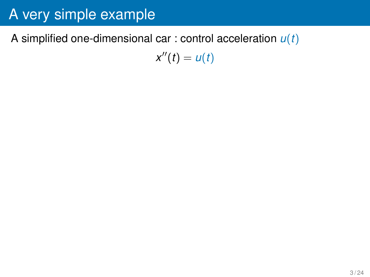#### A simplified one-dimensional car : control acceleration *u*(*t*)

 $x''(t) = u(t)$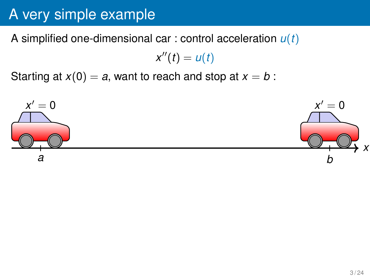A simplified one-dimensional car : control acceleration *u*(*t*)

$$
x''(t)=u(t)
$$

Starting at  $x(0) = a$ , want to reach and stop at  $x = b$ :

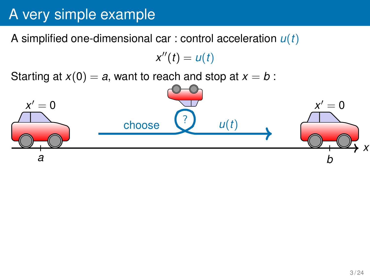A simplified one-dimensional car : control acceleration *u*(*t*)

 $x''(t) = u(t)$ 

Starting at  $x(0) = a$ , want to reach and stop at  $x = b$ :

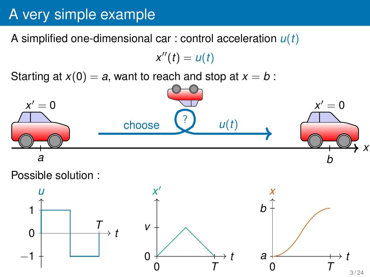A simplified one-dimensional car : control acceleration *u*(*t*)

 $x''(t) = u(t)$ 

Starting at  $x(0) = a$ , want to reach and stop at  $x = b$ :



Possible solution :

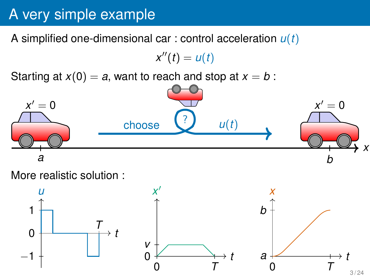A simplified one-dimensional car : control acceleration *u*(*t*)

 $x''(t) = u(t)$ 

Starting at  $x(0) = a$ , want to reach and stop at  $x = b$ :



More realistic solution :

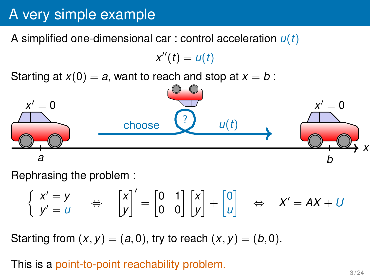A simplified one-dimensional car : control acceleration *u*(*t*)

 $x''(t) = u(t)$ 

Starting at  $x(0) = a$ , want to reach and stop at  $x = b$ :



Rephrasing the problem :

$$
\begin{cases}\n x' = y \\
y' = u\n\end{cases}\n\Leftrightarrow\n\begin{bmatrix}\n x \\
y\n\end{bmatrix}' =\n\begin{bmatrix}\n 0 & 1 \\
0 & 0\n\end{bmatrix}\n\begin{bmatrix}\n x \\
y\n\end{bmatrix} +\n\begin{bmatrix}\n 0 \\
u\n\end{bmatrix}\n\Rightarrow\nX' = AX + U
$$

Starting from  $(x, y) = (a, 0)$ , try to reach  $(x, y) = (b, 0)$ .

This is a point-to-point reachability problem.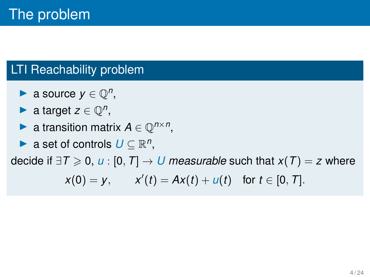- ▶ a source  $y \in \mathbb{Q}^n$ ,
- ▶ a target  $z \in \mathbb{Q}^n$ ,
- ▶ a transition matrix  $A \in \mathbb{Q}^{n \times n}$ ,
- ▶ a set of controls  $U \subseteq \mathbb{R}^n$ ,

decide if  $\exists T \ge 0$ , *u* : [0, *T*] → *U* measurable such that *x*(*T*) = *z* where

$$
x(0) = y
$$
,  $x'(t) = Ax(t) + u(t)$  for  $t \in [0, T]$ .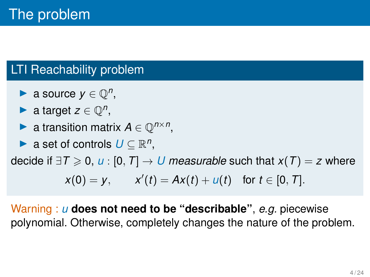- ▶ a source  $y \in \mathbb{Q}^n$ ,
- ▶ a target  $z \in \mathbb{Q}^n$ ,
- ▶ a transition matrix  $A \in \mathbb{Q}^{n \times n}$ ,
- ▶ a set of controls  $U \subseteq \mathbb{R}^n$ ,

decide if  $\exists T \ge 0$ , *u* : [0, *T*] → *U* measurable such that *x*(*T*) = *z* where

$$
x(0) = y
$$
,  $x'(t) = Ax(t) + u(t)$  for  $t \in [0, T]$ .

Warning : *u* **does not need to be "describable"**, *e.g.* piecewise polynomial. Otherwise, completely changes the nature of the problem.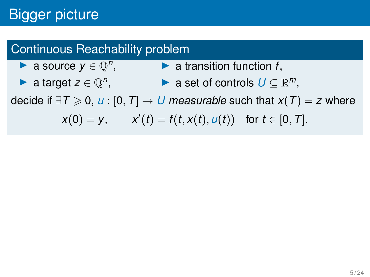# Bigger picture

### Continuous Reachability problem

- ▶ a source  $y \in \mathbb{Q}^n$ , ▶ a transition function *f*,
- ▶ a target  $z \in \mathbb{Q}^n$ , ▶ a set of controls  $U \subseteq \mathbb{R}^m$ ,

decide if  $\exists T \ge 0$ , *u* : [0, *T*] → *U* measurable such that  $x(T) = z$  where

$$
x(0) = y
$$
,  $x'(t) = f(t, x(t), u(t))$  for  $t \in [0, T]$ .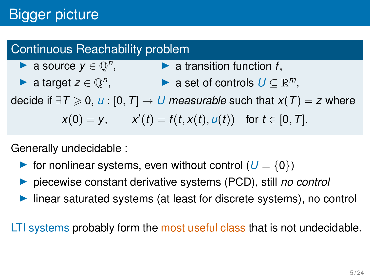# **Bigger picture**

### Continuous Reachability problem

- ▶ a source  $y \in \mathbb{Q}^n$ , ▶ a transition function *f*,
- ▶ a target  $z \in \mathbb{Q}^n$ , ▶ a set of controls  $U \subseteq \mathbb{R}^m$ ,

decide if  $\exists T \ge 0$ , *u* : [0, *T*] → *U* measurable such that  $x(T) = z$  where

$$
x(0) = y
$$
,  $x'(t) = f(t, x(t), u(t))$  for  $t \in [0, T]$ .

Generally undecidable :

- **•** for nonlinear systems, even without control  $(U = \{0\})$
- ▶ piecewise constant derivative systems (PCD), still *no control*
- linear saturated systems (at least for discrete systems), no control

LTI systems probably form the most useful class that is not undecidable.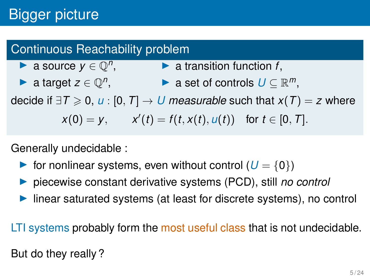# Bigger picture

### Continuous Reachability problem

- ▶ a source  $y \in \mathbb{Q}^n$ , ▶ a transition function *f*,
- ▶ a target  $z \in \mathbb{Q}^n$ , ▶ a set of controls  $U \subseteq \mathbb{R}^m$ ,

decide if  $\exists T \ge 0$ , *u* : [0, *T*] → *U* measurable such that  $x(T) = z$  where

$$
x(0) = y
$$
,  $x'(t) = f(t, x(t), u(t))$  for  $t \in [0, T]$ .

Generally undecidable :

- **•** for nonlinear systems, even without control  $(U = \{0\})$
- ▶ piecewise constant derivative systems (PCD), still *no control*
- linear saturated systems (at least for discrete systems), no control

LTI systems probably form the most useful class that is not undecidable.

But do they really ?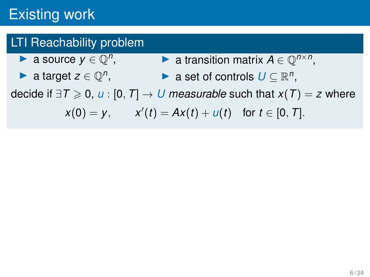### LTI Reachability problem

- ▶ a source  $y \in \mathbb{Q}^n$ , ▶ a transition matrix  $A \in \mathbb{Q}^{n \times n}$ ,
	- ▶ a target  $z \in \mathbb{Q}^n$ , ▶ a set of controls  $U \subseteq \mathbb{R}^n$ ,

decide if  $\exists T \ge 0$ , *u* : [0, *T*] → *U* measurable such that  $x(T) = z$  where

$$
x(0) = y
$$
,  $x'(t) = Ax(t) + u(t)$  for  $t \in [0, T]$ .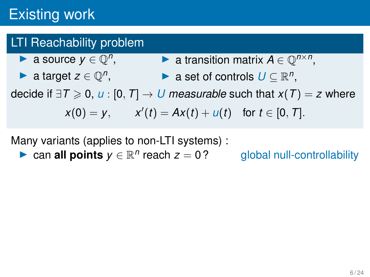## **LTI Reachability problem**

- ▶ a source  $y \in \mathbb{Q}^n$ , ▶ a transition matrix  $A \in \mathbb{Q}^{n \times n}$ ,
- ▶ a target  $z \in \mathbb{Q}^n$ , ▶ a set of controls  $U \subseteq \mathbb{R}^n$ ,

decide if  $\exists T \ge 0$ , *u* : [0, *T*] → *U* measurable such that  $x(T) = z$  where

$$
x(0) = y
$$
,  $x'(t) = Ax(t) + u(t)$  for  $t \in [0, T]$ .

Many variants (applies to non-LTI systems) :

▶ can **all points**  $y \in \mathbb{R}^n$ 

global null-controllability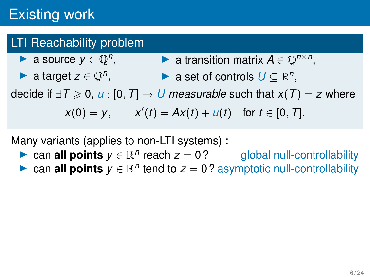## **LTI Reachability problem**

- ▶ a source  $y \in \mathbb{Q}^n$ , ▶ a transition matrix  $A \in \mathbb{Q}^{n \times n}$ ,
- ▶ a target  $z \in \mathbb{Q}^n$ , ▶ a set of controls  $U \subseteq \mathbb{R}^n$ ,

decide if  $\exists T \ge 0$ , *u* : [0, *T*] → *U* measurable such that  $x(T) = z$  where

$$
x(0) = y
$$
,  $x'(t) = Ax(t) + u(t)$  for  $t \in [0, T]$ .

Many variants (applies to non-LTI systems) :

- ▶ can **all points**  $y \in \mathbb{R}^n$  reach  $z = 0$ ? global null-controllability
- ▶ can **all points**  $y \in \mathbb{R}^n$  tend to  $z = 0$  ? asymptotic null-controllability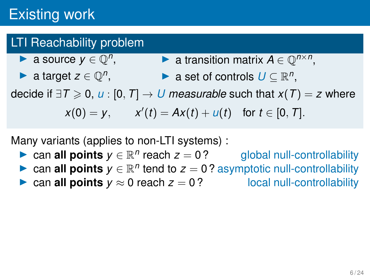## **LTI Reachability problem**

- ▶ a source  $y \in \mathbb{Q}^n$ , ▶ a transition matrix  $A \in \mathbb{Q}^{n \times n}$ ,
- ▶ a target  $z \in \mathbb{Q}^n$ , ▶ a set of controls  $U \subseteq \mathbb{R}^n$ ,

decide if  $\exists T \ge 0$ , *u* : [0, *T*] → *U* measurable such that  $x(T) = z$  where

$$
x(0) = y
$$
,  $x'(t) = Ax(t) + u(t)$  for  $t \in [0, T]$ .

Many variants (applies to non-LTI systems) :

- ▶ can **all points**  $y \in \mathbb{R}^n$ global null-controllability
- ▶ can **all points**  $y \in \mathbb{R}^n$  tend to  $z = 0$  ? asymptotic null-controllability
- ▶ can **all points**  $y \approx 0$  reach  $z = 0$ ? local null-controllability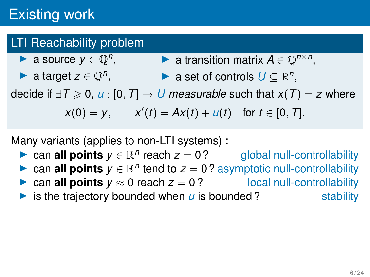- ▶ a source  $y \in \mathbb{Q}^n$ , ▶ a transition matrix  $A \in \mathbb{Q}^{n \times n}$ ,
- ▶ a target  $z \in \mathbb{Q}^n$ , ▶ a set of controls  $U \subseteq \mathbb{R}^n$ ,

decide if  $\exists T \ge 0$ , *u* : [0, *T*] → *U* measurable such that  $x(T) = z$  where

$$
x(0) = y
$$
,  $x'(t) = Ax(t) + u(t)$  for  $t \in [0, T]$ .

Many variants (applies to non-LTI systems) :

- ▶ can **all points**  $y \in \mathbb{R}^n$ global null-controllability
- ▶ can **all points**  $y \in \mathbb{R}^n$  tend to  $z = 0$  ? asymptotic null-controllability
- ▶ can **all points**  $y \approx 0$  reach  $z = 0$ ? local null-controllability

 $\triangleright$  is the trajectory bounded when  $\mu$  is bounded? stability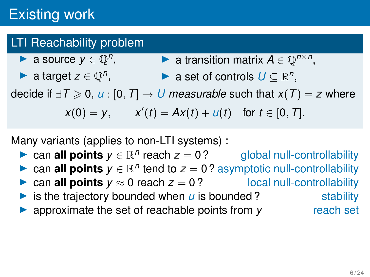- ▶ a source  $y \in \mathbb{Q}^n$ , ▶ a transition matrix  $A \in \mathbb{Q}^{n \times n}$ ,
- ▶ a target  $z \in \mathbb{Q}^n$ , ▶ a set of controls  $U \subseteq \mathbb{R}^n$ ,

decide if  $\exists T \ge 0$ , *u* : [0, *T*] → *U* measurable such that  $x(T) = z$  where

$$
x(0) = y
$$
,  $x'(t) = Ax(t) + u(t)$  for  $t \in [0, T]$ .

Many variants (applies to non-LTI systems) :

- ▶ can **all points**  $y \in \mathbb{R}^n$ reach *z* = 0 ? global null-controllability
- ▶ can **all points**  $y \in \mathbb{R}^n$  tend to  $z = 0$  ? asymptotic null-controllability
- ▶ can **all points**  $y \approx 0$  reach  $z = 0$ ? local null-controllability
- $\triangleright$  is the trajectory bounded when  $\mu$  is bounded? stability
- ▶ approximate the set of reachable points from *y* reach set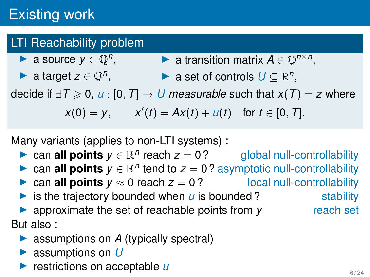- ▶ a source  $y \in \mathbb{Q}^n$ , ▶ a transition matrix  $A \in \mathbb{Q}^{n \times n}$ ,
- ▶ a target  $z \in \mathbb{Q}^n$ , ▶ a set of controls  $U \subseteq \mathbb{R}^n$ ,

decide if  $\exists T \ge 0$ , *u* : [0, *T*] → *U* measurable such that  $x(T) = z$  where

$$
x(0) = y
$$
,  $x'(t) = Ax(t) + u(t)$  for  $t \in [0, T]$ .

Many variants (applies to non-LTI systems) :

- ▶ can **all points**  $y \in \mathbb{R}^n$  reach  $z = 0$ ? global null-controllability
- ▶ can **all points**  $y \in \mathbb{R}^n$  tend to  $z = 0$  ? asymptotic null-controllability
- ▶ can **all points**  $y \approx 0$  reach  $z = 0$ ? local null-controllability
- $\triangleright$  is the trajectory bounded when  $\mu$  is bounded? stability
- ▶ approximate the set of reachable points from *y* reach set But also :
	- ▶ assumptions on *A* (typically spectral)
	- ▶ assumptions on *U*
	- ▶ restrictions on acceptable *u*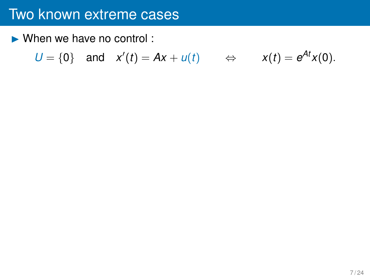$\blacktriangleright$  When we have no control :

$$
U = \{0\}
$$
 and  $x'(t) = Ax + u(t)$   $\Leftrightarrow$   $x(t) = e^{At}x(0)$ .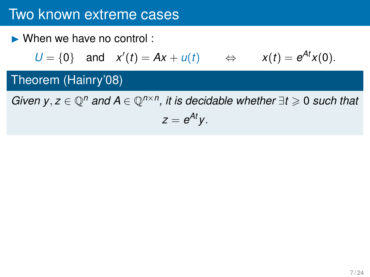$\triangleright$  When we have no control :

$$
U = \{0\}
$$
 and  $x'(t) = Ax + u(t)$   $\Leftrightarrow$   $x(t) = e^{At}x(0).$ 

## Theorem (Hainry'08)

*Given y, z*  $\in \mathbb{Q}^n$  *and*  $A \in \mathbb{Q}^{n \times n}$ , *it is decidable whether*  $\exists t \geq 0$  *such that* 

$$
z=e^{At}y.
$$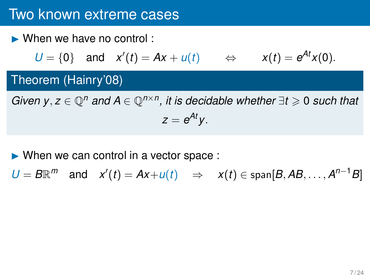▶ When we have no control :

$$
U = \{0\}
$$
 and  $x'(t) = Ax + u(t)$   $\Leftrightarrow$   $x(t) = e^{At}x(0).$ 

## Theorem (Hainry'08)

*Given y, z*  $\in \mathbb{Q}^n$  *and*  $A \in \mathbb{Q}^{n \times n}$ , *it is decidable whether*  $\exists t \geq 0$  *such that*  $z = e^{At}y$ .

 $\triangleright$  When we can control in a vector space :

 $U = B\mathbb{R}^m$  and  $x'(t) = Ax + u(t) \Rightarrow x(t) \in \text{span}[B, AB, \dots, A^{n-1}B]$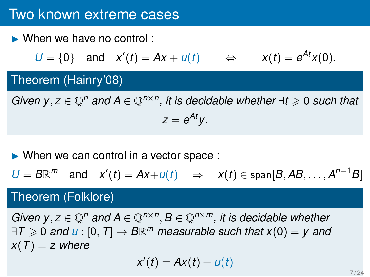▶ When we have no control :

$$
U = \{0\}
$$
 and  $x'(t) = Ax + u(t)$   $\Leftrightarrow$   $x(t) = e^{At}x(0).$ 

## Theorem (Hainry'08)

*Given y, z*  $\in \mathbb{Q}^n$  *and*  $A \in \mathbb{Q}^{n \times n}$ , *it is decidable whether*  $\exists t \geq 0$  *such that*  $z = e^{At}y$ .

 $\triangleright$  When we can control in a vector space :

$$
U = B\mathbb{R}^m
$$
 and  $x'(t) = Ax + u(t) \Rightarrow x(t) \in \text{span}[B, AB, ..., A^{n-1}B]$ 

## Theorem (Folklore)

*Given y, z*  $\in \mathbb{Q}^n$  *and*  $A \in \mathbb{Q}^{n \times n}$ , *B*  $\in \mathbb{Q}^{n \times m}$ , *it is decidable whether*  $\exists T \geqslant 0$  and  $u : [0, T] \rightarrow B\mathbb{R}^m$  measurable such that  $x(0) = y$  and  $x(T) = z$  where

$$
x'(t) = Ax(t) + u(t)
$$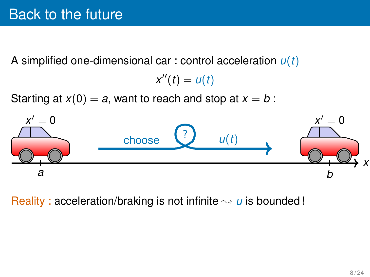A simplified one-dimensional car : control acceleration *u*(*t*)

```
x''(t) = u(t)
```
Starting at  $x(0) = a$ , want to reach and stop at  $x = b$ :



Reality : acceleration/braking is not infinite  $\sim u$  is bounded!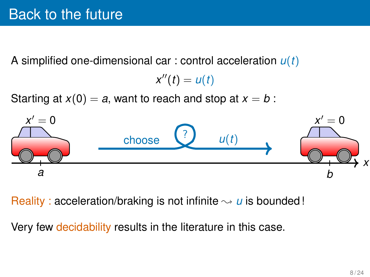A simplified one-dimensional car : control acceleration *u*(*t*)

```
x''(t) = u(t)
```
Starting at  $x(0) = a$ , want to reach and stop at  $x = b$ :



Reality : acceleration/braking is not infinite  $\sim u$  is bounded!

Very few decidability results in the literature in this case.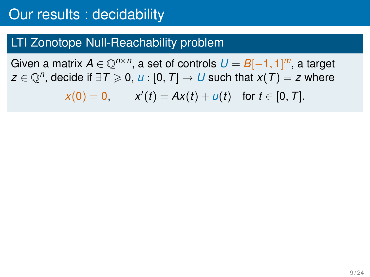Given a matrix  $A \in \mathbb{Q}^{n \times n}$ , a set of controls  $U = B[-1, 1]^m$ , a target  $z \in \mathbb{Q}^n$ , decide if  $\exists \mathcal{T} \geqslant 0$ ,  $u : [0, \mathcal{T}] \rightarrow U$  such that  $x(\mathcal{T}) = z$  where

$$
x(0) = 0
$$
,  $x'(t) = Ax(t) + u(t)$  for  $t \in [0, T]$ .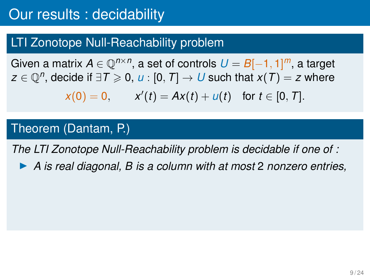Given a matrix  $A \in \mathbb{Q}^{n \times n}$ , a set of controls  $U = B[-1, 1]^m$ , a target  $z \in \mathbb{Q}^n$ , decide if  $\exists \mathcal{T} \geqslant 0$ ,  $u : [0, \mathcal{T}] \rightarrow U$  such that  $x(\mathcal{T}) = z$  where

$$
x(0) = 0
$$
,  $x'(t) = Ax(t) + u(t)$  for  $t \in [0, T]$ .

#### Theorem (Dantam, P.)

*The LTI Zonotope Null-Reachability problem is decidable if one of :*

▶ *A is real diagonal, B is a column with at most* 2 *nonzero entries,*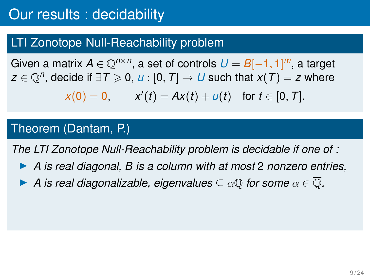Given a matrix  $A \in \mathbb{Q}^{n \times n}$ , a set of controls  $U = B[-1, 1]^m$ , a target  $z \in \mathbb{Q}^n$ , decide if  $\exists \mathcal{T} \geqslant 0$ ,  $u : [0, \mathcal{T}] \rightarrow U$  such that  $x(\mathcal{T}) = z$  where

$$
x(0) = 0
$$
,  $x'(t) = Ax(t) + u(t)$  for  $t \in [0, T]$ .

#### Theorem (Dantam, P.)

*The LTI Zonotope Null-Reachability problem is decidable if one of :*

- ▶ *A is real diagonal, B is a column with at most* 2 *nonzero entries,*
- $\triangleright$  *A* is real diagonalizable, eigenvalues  $\subset \alpha \mathbb{Q}$  for some  $\alpha \in \mathbb{Q}$ ,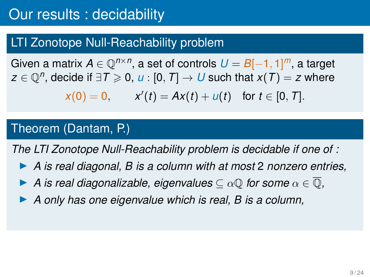Given a matrix  $A \in \mathbb{Q}^{n \times n}$ , a set of controls  $U = B[-1, 1]^m$ , a target  $z \in \mathbb{Q}^n$ , decide if  $\exists \mathcal{T} \geqslant 0$ ,  $u : [0, \mathcal{T}] \rightarrow U$  such that  $x(\mathcal{T}) = z$  where

$$
x(0) = 0
$$
,  $x'(t) = Ax(t) + u(t)$  for  $t \in [0, T]$ .

#### Theorem (Dantam, P.)

*The LTI Zonotope Null-Reachability problem is decidable if one of :*

- ▶ *A is real diagonal, B is a column with at most* 2 *nonzero entries,*
- $\triangleright$  *A* is real diagonalizable, eigenvalues  $\subset \alpha \mathbb{Q}$  for some  $\alpha \in \mathbb{Q}$ ,
- ▶ *A only has one eigenvalue which is real, B is a column,*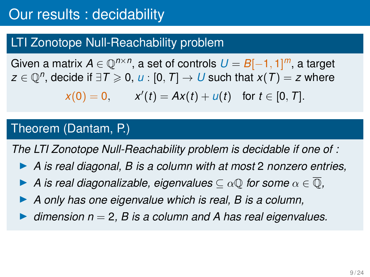Given a matrix  $A \in \mathbb{Q}^{n \times n}$ , a set of controls  $U = B[-1, 1]^m$ , a target  $z \in \mathbb{Q}^n$ , decide if  $\exists \mathcal{T} \geqslant 0$ ,  $u : [0, \mathcal{T}] \rightarrow U$  such that  $x(\mathcal{T}) = z$  where

$$
x(0) = 0
$$
,  $x'(t) = Ax(t) + u(t)$  for  $t \in [0, T]$ .

#### Theorem (Dantam, P.)

*The LTI Zonotope Null-Reachability problem is decidable if one of :*

- ▶ *A is real diagonal, B is a column with at most* 2 *nonzero entries,*
- $\triangleright$  *A* is real diagonalizable, eigenvalues  $\subset \alpha \mathbb{Q}$  for some  $\alpha \in \mathbb{Q}$ ,
- ▶ *A only has one eigenvalue which is real, B is a column,*
- ▶ *dimension n* = 2*, B is a column and A has real eigenvalues.*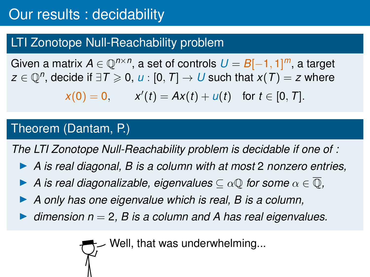Given a matrix  $A \in \mathbb{Q}^{n \times n}$ , a set of controls  $U = B[-1, 1]^m$ , a target  $z \in \mathbb{Q}^n$ , decide if  $\exists \mathcal{T} \geqslant 0$ ,  $u : [0, \mathcal{T}] \rightarrow U$  such that  $x(\mathcal{T}) = z$  where

$$
x(0) = 0
$$
,  $x'(t) = Ax(t) + u(t)$  for  $t \in [0, T]$ .

#### Theorem (Dantam, P.)

*The LTI Zonotope Null-Reachability problem is decidable if one of :*

- ▶ *A is real diagonal, B is a column with at most* 2 *nonzero entries,*
- $\triangleright$  *A* is real diagonalizable, eigenvalues  $\subset \alpha \mathbb{Q}$  for some  $\alpha \in \mathbb{Q}$ ,
- ▶ *A only has one eigenvalue which is real, B is a column,*
- ▶ *dimension n* = 2*, B is a column and A has real eigenvalues.*

Well, that was underwhelming...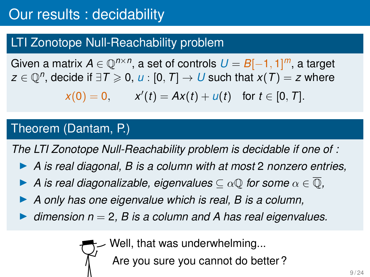Given a matrix  $A \in \mathbb{Q}^{n \times n}$ , a set of controls  $U = B[-1, 1]^m$ , a target  $z \in \mathbb{Q}^n$ , decide if  $\exists \mathcal{T} \geqslant 0$ ,  $u : [0, \mathcal{T}] \rightarrow U$  such that  $x(\mathcal{T}) = z$  where

$$
x(0) = 0
$$
,  $x'(t) = Ax(t) + u(t)$  for  $t \in [0, T]$ .

#### Theorem (Dantam, P.)

*The LTI Zonotope Null-Reachability problem is decidable if one of :*

- ▶ *A is real diagonal, B is a column with at most* 2 *nonzero entries,*
- $\triangleright$  *A* is real diagonalizable, eigenvalues  $\subset \alpha \mathbb{Q}$  for some  $\alpha \in \mathbb{Q}$ ,
- ▶ *A only has one eigenvalue which is real, B is a column,*
- ▶ *dimension n* = 2*, B is a column and A has real eigenvalues.*

Well, that was underwhelming...

Are you sure you cannot do better ?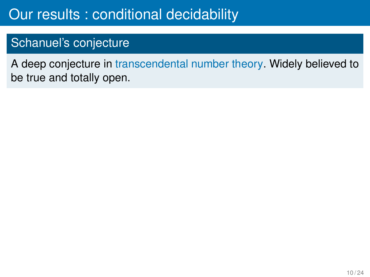## Schanuel's conjecture

A deep conjecture in transcendental number theory. Widely believed to be true and totally open.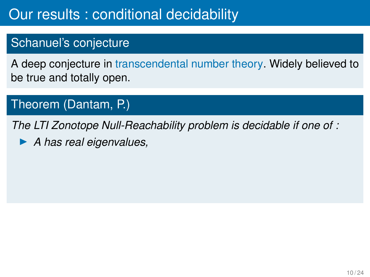## Schanuel's conjecture

A deep conjecture in transcendental number theory. Widely believed to be true and totally open.

## Theorem (Dantam, P.)

*The LTI Zonotope Null-Reachability problem is decidable if one of :*

▶ *A has real eigenvalues,*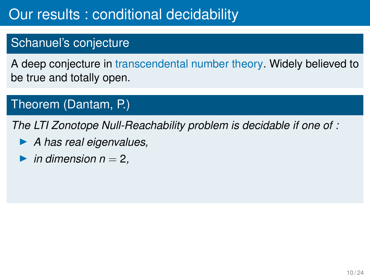## Schanuel's conjecture

A deep conjecture in transcendental number theory. Widely believed to be true and totally open.

## Theorem (Dantam, P.)

*The LTI Zonotope Null-Reachability problem is decidable if one of :*

- ▶ *A has real eigenvalues,*
- $\blacktriangleright$  *in dimension n* = 2*,*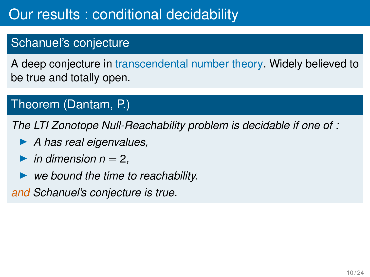## Schanuel's conjecture

A deep conjecture in transcendental number theory. Widely believed to be true and totally open.

## Theorem (Dantam, P.)

*The LTI Zonotope Null-Reachability problem is decidable if one of :*

- ▶ *A has real eigenvalues,*
- $\blacktriangleright$  *in dimension n* = 2*,*
- ▶ *we bound the time to reachability.*

*and Schanuel's conjecture is true.*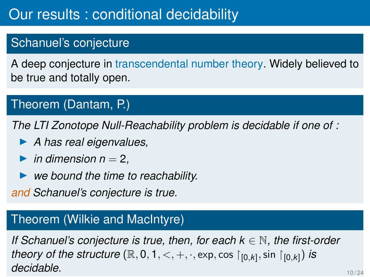## Schanuel's conjecture

A deep conjecture in transcendental number theory. Widely believed to be true and totally open.

## Theorem (Dantam, P.)

*The LTI Zonotope Null-Reachability problem is decidable if one of :*

- ▶ *A has real eigenvalues,*
- $\blacktriangleright$  *in dimension n* = 2*,*
- ▶ *we bound the time to reachability.*

*and Schanuel's conjecture is true.*

### Theorem (Wilkie and MacIntyre)

*If Schanuel's conjecture is true, then, for each k* ∈ N*, the first-order theory of the structure*  $(\mathbb{R}, 0, 1, <, +, \cdot, \exp, \cos |_{[0,k]}, \sin |_{[0,k]})$  *is* **decidable.** 10/24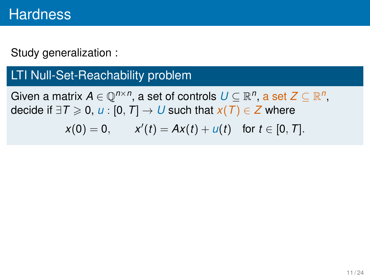## LTI Null-Set-Reachability problem

Given a matrix  $A \in \mathbb{Q}^{n \times n}$ , a set of controls  $U \subseteq \mathbb{R}^n$ , a set  $Z \subseteq \mathbb{R}^n$ , decide if  $\exists T \ge 0$ , *u* : [0, *T*] → *U* such that  $x(T) \in Z$  where

$$
x(0) = 0
$$
,  $x'(t) = Ax(t) + u(t)$  for  $t \in [0, T]$ .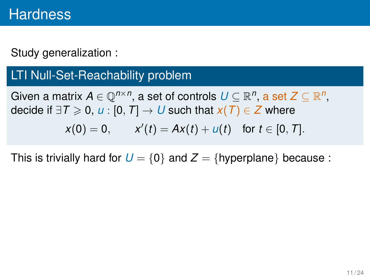## LTI Null-Set-Reachability problem

Given a matrix  $A \in \mathbb{Q}^{n \times n}$ , a set of controls  $U \subseteq \mathbb{R}^n$ , a set  $Z \subseteq \mathbb{R}^n$ , decide if  $\exists T \ge 0$ , *u* : [0, *T*] → *U* such that  $x(T) \in Z$  where

$$
x(0) = 0
$$
,  $x'(t) = Ax(t) + u(t)$  for  $t \in [0, T]$ .

This is trivially hard for  $U = \{0\}$  and  $Z = \{hyperplane\}$  because: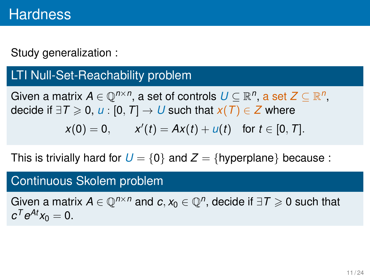## LTI Null-Set-Reachability problem

Given a matrix  $A \in \mathbb{Q}^{n \times n}$ , a set of controls  $U \subseteq \mathbb{R}^n$ , a set  $Z \subseteq \mathbb{R}^n$ , decide if  $\exists T \ge 0$ , *u* : [0, *T*] → *U* such that  $x(T) \in Z$  where

$$
x(0) = 0
$$
,  $x'(t) = Ax(t) + u(t)$  for  $t \in [0, T]$ .

This is trivially hard for  $U = \{0\}$  and  $Z = \{hyperplane\}$  because:

#### Continuous Skolem problem

Given a matrix  $A \in \mathbb{Q}^{n \times n}$  and  $c, x_0 \in \mathbb{Q}^n$ , decide if  $\exists T \geqslant 0$  such that  $c^T e^{At} x_0 = 0.$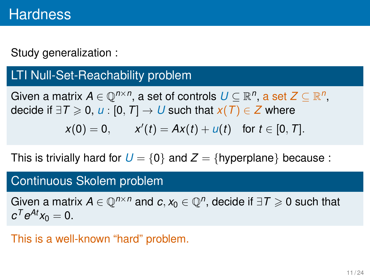## LTI Null-Set-Reachability problem

Given a matrix  $A \in \mathbb{Q}^{n \times n}$ , a set of controls  $U \subseteq \mathbb{R}^n$ , a set  $Z \subseteq \mathbb{R}^n$ , decide if  $\exists T \ge 0$ , *u* : [0, *T*] → *U* such that  $x(T) \in Z$  where

$$
x(0) = 0
$$
,  $x'(t) = Ax(t) + u(t)$  for  $t \in [0, T]$ .

This is trivially hard for  $U = \{0\}$  and  $Z = \{hyperplane\}$  because:

#### Continuous Skolem problem

Given a matrix  $A \in \mathbb{Q}^{n \times n}$  and  $c, x_0 \in \mathbb{Q}^n$ , decide if  $\exists T \geqslant 0$  such that  $c^T e^{At} x_0 = 0.$ 

This is a well-known "hard" problem.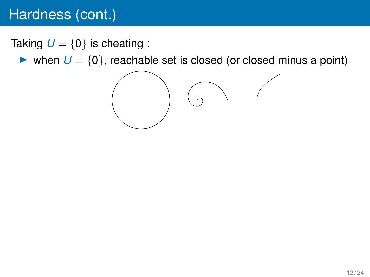# Hardness (cont.)

Taking  $U = \{0\}$  is cheating :

 $\triangleright$  when  $U = \{0\}$ , reachable set is closed (or closed minus a point)

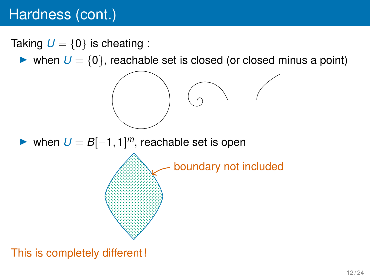# Hardness (cont.)

- Taking  $U = \{0\}$  is cheating :
	- $\triangleright$  when  $U = \{0\}$ , reachable set is closed (or closed minus a point)



▶ when  $U = B[-1, 1]^m$ , reachable set is open

boundary not included

## This is completely different !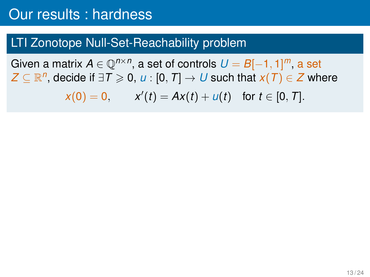## LTI Zonotope Null-Set-Reachability problem

Given a matrix  $A \in \mathbb{Q}^{n \times n}$ , a set of controls  $U = B[-1,1]^m$ , a set  $Z \subseteq \mathbb{R}^n$ , decide if  $\exists \mathcal{T} \geqslant 0$ ,  $u : [0, \mathcal{T}] \to U$  such that  $x(\mathcal{T}) \in Z$  where

 $x(0) = 0,$   $x'(t) = Ax(t) + u(t)$  for  $t \in [0, T].$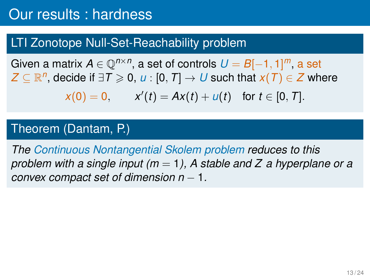## LTI Zonotope Null-Set-Reachability problem

Given a matrix  $A \in \mathbb{Q}^{n \times n}$ , a set of controls  $U = B[-1,1]^m$ , a set  $Z \subseteq \mathbb{R}^n$ , decide if  $\exists \mathcal{T} \geqslant 0$ ,  $u : [0, \mathcal{T}] \to U$  such that  $x(\mathcal{T}) \in Z$  where

$$
x(0) = 0
$$
,  $x'(t) = Ax(t) + u(t)$  for  $t \in [0, T]$ .

#### Theorem (Dantam, P.)

*The Continuous Nontangential Skolem problem reduces to this problem with a single input (m* = 1*), A stable and Z a hyperplane or a convex compact set of dimension n* − 1*.*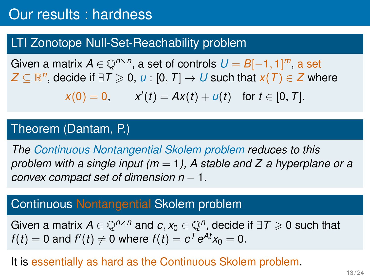## LTI Zonotope Null-Set-Reachability problem

Given a matrix  $A \in \mathbb{Q}^{n \times n}$ , a set of controls  $U = B[-1,1]^m$ , a set  $Z \subseteq \mathbb{R}^n$ , decide if  $\exists \mathcal{T} \geqslant 0$ ,  $u : [0, \mathcal{T}] \to U$  such that  $x(\mathcal{T}) \in Z$  where

 $x(0) = 0,$   $x'(t) = Ax(t) + u(t)$  for  $t \in [0, T].$ 

#### Theorem (Dantam, P.)

*The Continuous Nontangential Skolem problem reduces to this problem with a single input (m* = 1*), A stable and Z a hyperplane or a convex compact set of dimension n* − 1*.*

### Continuous Nontangential Skolem problem

Given a matrix  $A \in \mathbb{Q}^{n \times n}$  and  $c, x_0 \in \mathbb{Q}^n$ , decide if  $\exists T \geqslant 0$  such that  $f(t) = 0$  and  $f'(t) \neq 0$  where  $f(t) = c^T e^{At} x_0 = 0.$ 

#### It is essentially as hard as the Continuous Skolem problem.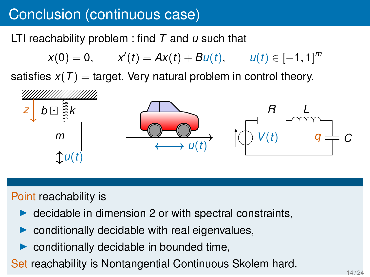# Conclusion (continuous case)

LTI reachability problem : find *T* and *u* such that

$$
x(0) = 0, \qquad x'(t) = Ax(t) + Bu(t), \qquad u(t) \in [-1, 1]^m
$$

satisfies  $x(T) =$  target. Very natural problem in control theory.



### Point reachability is

- $\triangleright$  decidable in dimension 2 or with spectral constraints,
- conditionally decidable with real eigenvalues,
- conditionally decidable in bounded time,
- Set reachability is Nontangential Continuous Skolem hard.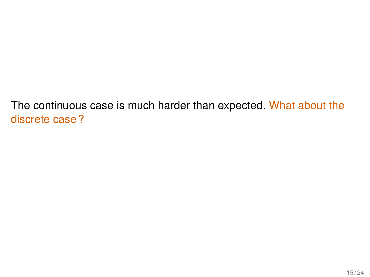The continuous case is much harder than expected. What about the discrete case ?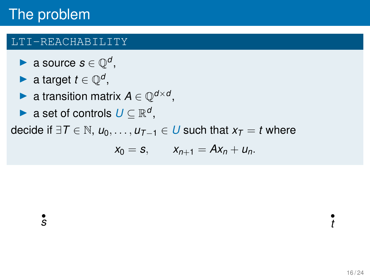#### LTI-REACHABILITY

- ▶ a source  $s \in \mathbb{Q}^d$ ,
- ▶ a target  $t \in \mathbb{Q}^d$ ,
- ▶ a transition matrix  $A \in \mathbb{Q}^{d \times d}$ ,
- ▶ a set of controls  $U \subseteq \mathbb{R}^d$ ,

decide if  $\exists T \in \mathbb{N}$ ,  $u_0, \ldots, u_{T-1} \in U$  such that  $x_T = t$  where

$$
x_0 = s, \qquad x_{n+1} = Ax_n + u_n.
$$

*s t*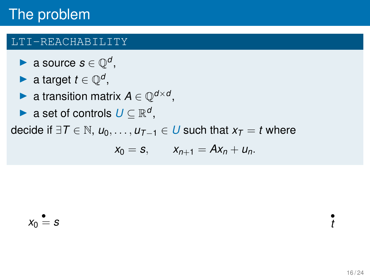#### LTI-REACHABILITY

- ▶ a source  $s \in \mathbb{Q}^d$ ,
- ▶ a target  $t \in \mathbb{Q}^d$ ,
- ▶ a transition matrix  $A \in \mathbb{Q}^{d \times d}$ ,
- ▶ a set of controls  $U \subseteq \mathbb{R}^d$ ,

$$
x_0 = s, \qquad x_{n+1} = Ax_n + u_n.
$$

$$
x_0 = s
$$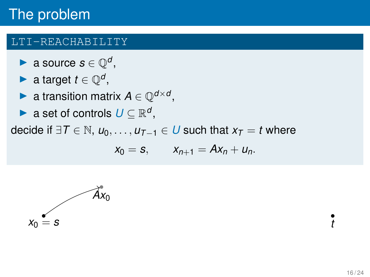#### LTI-REACHABILITY

- ▶ a source  $s \in \mathbb{Q}^d$ ,
- ▶ a target  $t \in \mathbb{Q}^d$ ,
- ▶ a transition matrix  $A \in \mathbb{Q}^{d \times d}$ ,
- ▶ a set of controls  $U \subseteq \mathbb{R}^d$ ,

$$
x_0 = s, \qquad x_{n+1} = Ax_n + u_n.
$$

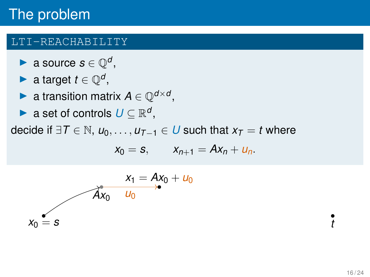#### LTI-REACHABILITY

- ▶ a source  $s \in \mathbb{Q}^d$ ,
- ▶ a target  $t \in \mathbb{Q}^d$ ,
- ▶ a transition matrix  $A \in \mathbb{Q}^{d \times d}$ ,
- ▶ a set of controls  $U \subseteq \mathbb{R}^d$ ,

$$
x_0 = s, \qquad x_{n+1} = Ax_n + u_n.
$$

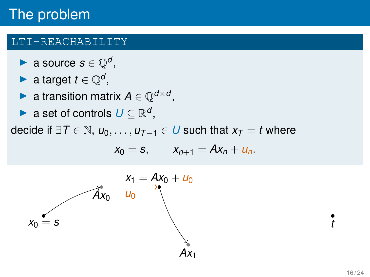#### LTI-REACHABILITY

- ▶ a source  $s \in \mathbb{Q}^d$ ,
- ▶ a target  $t \in \mathbb{Q}^d$ ,
- ▶ a transition matrix  $A \in \mathbb{Q}^{d \times d}$ ,
- ▶ a set of controls  $U \subseteq \mathbb{R}^d$ ,

$$
x_0 = s, \qquad x_{n+1} = Ax_n + u_n.
$$

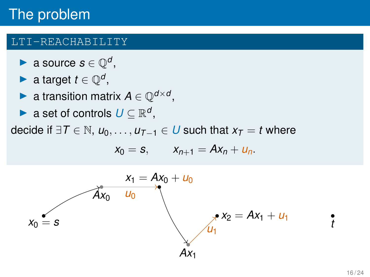#### LTI-REACHABILITY

- ▶ a source  $s \in \mathbb{Q}^d$ ,
- ▶ a target  $t \in \mathbb{Q}^d$ ,
- ▶ a transition matrix  $A \in \mathbb{Q}^{d \times d}$ ,
- ▶ a set of controls  $U \subseteq \mathbb{R}^d$ ,

$$
x_0 = s, \qquad x_{n+1} = Ax_n + u_n.
$$

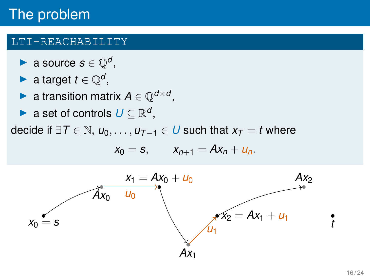#### LTI-REACHABILITY

- ▶ a source  $s \in \mathbb{Q}^d$ ,
- ▶ a target  $t \in \mathbb{Q}^d$ ,
- ▶ a transition matrix  $A \in \mathbb{Q}^{d \times d}$ ,
- ▶ a set of controls  $U \subseteq \mathbb{R}^d$ ,

$$
x_0 = s, \qquad x_{n+1} = Ax_n + u_n.
$$

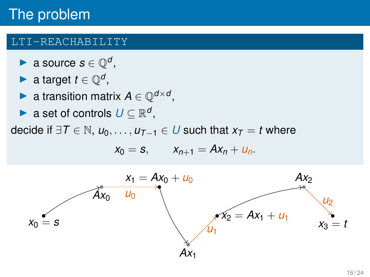#### LTI-REACHABILITY

- ▶ a source  $s \in \mathbb{Q}^d$ ,
- ▶ a target  $t \in \mathbb{Q}^d$ ,
- ▶ a transition matrix  $A \in \mathbb{Q}^{d \times d}$ ,
- ▶ a set of controls  $U \subseteq \mathbb{R}^d$ ,

$$
x_0 = s, \qquad x_{n+1} = Ax_n + u_n.
$$

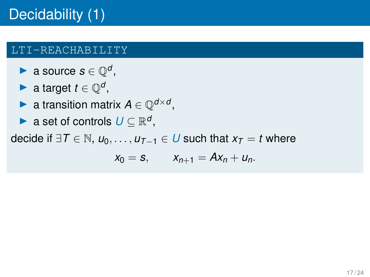- ▶ a source  $s \in \mathbb{Q}^d$ ,
- ▶ a target  $t \in \mathbb{Q}^d$ ,
- ▶ a transition matrix  $A \in \mathbb{Q}^{d \times d}$ ,
- ▶ a set of controls  $U \subseteq \mathbb{R}^d$ ,

$$
x_0 = s, \qquad x_{n+1} = Ax_n + u_n.
$$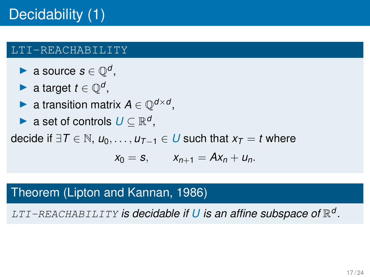- ▶ a source  $s \in \mathbb{Q}^d$ ,
- ▶ a target  $t \in \mathbb{Q}^d$ ,
- ▶ a transition matrix  $A \in \mathbb{Q}^{d \times d}$ ,
- ▶ a set of controls  $U \subseteq \mathbb{R}^d$ ,

decide if ∃*T* ∈ N,  $u_0, \ldots, u_{T-1}$  ∈ *U* such that  $x_T = t$  where

$$
x_0 = s, \qquad x_{n+1} = Ax_n + u_n.
$$

## Theorem (Lipton and Kannan, 1986)

LTI-REACHABILITY *is decidable if U is an affine subspace of* R *d .*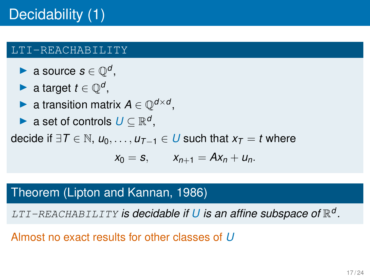- ▶ a source  $s \in \mathbb{Q}^d$ ,
- ▶ a target  $t \in \mathbb{Q}^d$ ,
- ▶ a transition matrix  $A \in \mathbb{Q}^{d \times d}$ ,
- ▶ a set of controls  $U \subseteq \mathbb{R}^d$ ,

decide if ∃*T* ∈ N,  $u_0, \ldots, u_{T-1}$  ∈ *U* such that  $x_T = t$  where

$$
x_0 = s, \qquad x_{n+1} = Ax_n + u_n.
$$

### Theorem (Lipton and Kannan, 1986)

LTI-REACHABILITY *is decidable if U is an affine subspace of* R *d .*

Almost no exact results for other classes of *U*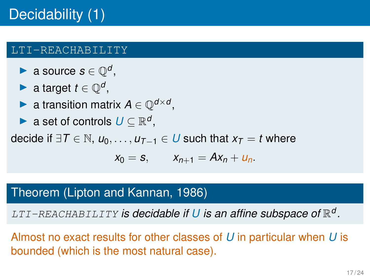- ▶ a source  $s \in \mathbb{Q}^d$ ,
- ▶ a target  $t \in \mathbb{Q}^d$ ,
- ▶ a transition matrix  $A \in \mathbb{Q}^{d \times d}$ ,
- ▶ a set of controls  $U \subseteq \mathbb{R}^d$ ,

decide if ∃*T* ∈ N,  $u_0, \ldots, u_{T-1}$  ∈ *U* such that  $x_T = t$  where

$$
x_0 = s, \qquad x_{n+1} = Ax_n + u_n.
$$

## Theorem (Lipton and Kannan, 1986)

LTI-REACHABILITY *is decidable if U is an affine subspace of* R *d .*

Almost no exact results for other classes of *U* in particular when *U* is bounded (which is the most natural case).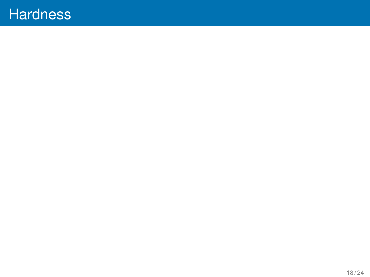## **Hardness**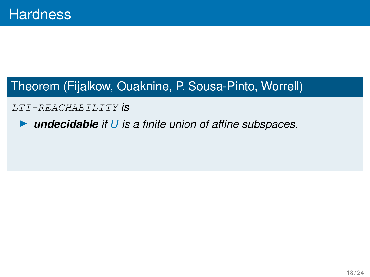## Theorem (Fijalkow, Ouaknine, P. Sousa-Pinto, Worrell)

#### LTI-REACHABILITY *is*

▶ *undecidable if U is a finite union of affine subspaces.*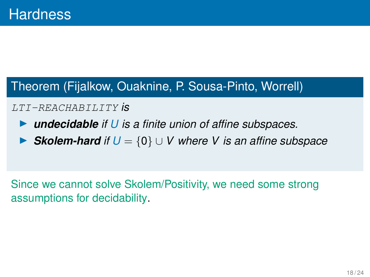### Theorem (Fijalkow, Ouaknine, P. Sousa-Pinto, Worrell)

#### LTI-REACHABILITY *is*

- ▶ *undecidable if U is a finite union of affine subspaces.*
- **Skolem-hard** if  $U = \{0\}$  ∪ *V* where *V* is an affine subspace

Since we cannot solve Skolem/Positivity, we need some strong assumptions for decidability.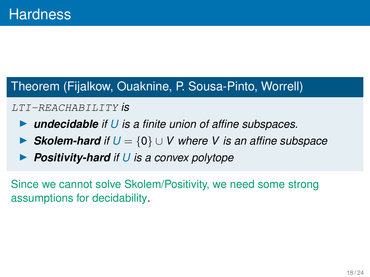### Theorem (Fijalkow, Ouaknine, P. Sousa-Pinto, Worrell)

#### LTI-REACHABILITY *is*

- ▶ *undecidable if U is a finite union of affine subspaces.*
- **Skolem-hard** if  $U = \{0\}$  ∪ *V* where *V* is an affine subspace
- **Positivity-hard** if U is a convex polytope

Since we cannot solve Skolem/Positivity, we need some strong assumptions for decidability.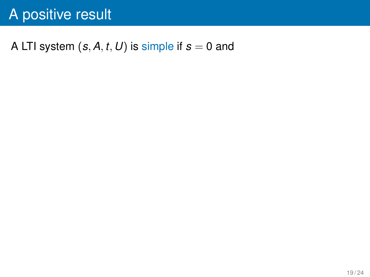# A positive result

## A LTI system  $(s, A, t, U)$  is simple if  $s = 0$  and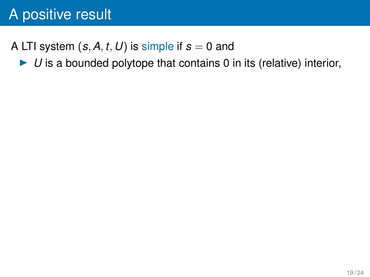# A positive result

## A LTI system  $(s, A, t, U)$  is simple if  $s = 0$  and

▶ *U* is a bounded polytope that contains 0 in its (relative) interior,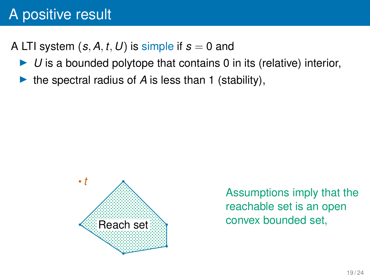# A positive result

## A LTI system  $(s, A, t, U)$  is simple if  $s = 0$  and

- ▶ *U* is a bounded polytope that contains 0 in its (relative) interior,
- the spectral radius of  $\vec{A}$  is less than 1 (stability),



Assumptions imply that the reachable set is an open convex bounded set,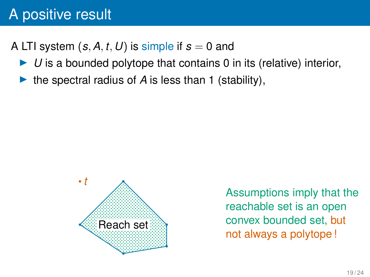## A LTI system  $(s, A, t, U)$  is simple if  $s = 0$  and

- ▶ *U* is a bounded polytope that contains 0 in its (relative) interior,
- the spectral radius of  $\vec{A}$  is less than 1 (stability),

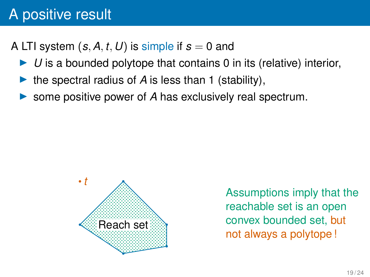A LTI system  $(s, A, t, U)$  is simple if  $s = 0$  and

- ▶ *U* is a bounded polytope that contains 0 in its (relative) interior,
- ▶ the spectral radius of *A* is less than 1 (stability),
- some positive power of A has exclusively real spectrum.

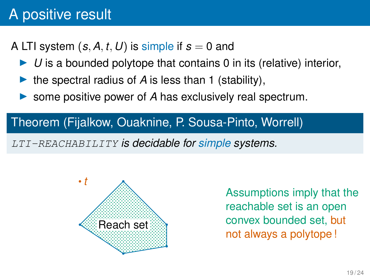## A LTI system  $(s, A, t, U)$  is simple if  $s = 0$  and

- ▶ *U* is a bounded polytope that contains 0 in its (relative) interior,
- ▶ the spectral radius of *A* is less than 1 (stability),
- ▶ some positive power of *A* has exclusively real spectrum.

### Theorem (Fijalkow, Ouaknine, P. Sousa-Pinto, Worrell)

LTI-REACHABILITY *is decidable for simple systems.*

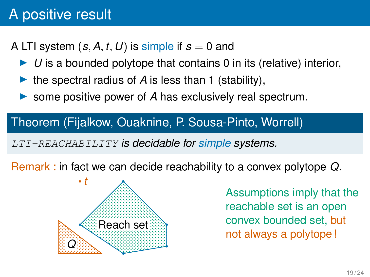## A LTI system  $(s, A, t, U)$  is simple if  $s = 0$  and

- ▶ *U* is a bounded polytope that contains 0 in its (relative) interior,
- the spectral radius of  $\vec{A}$  is less than 1 (stability),
- ▶ some positive power of *A* has exclusively real spectrum.

### Theorem (Fijalkow, Ouaknine, P. Sousa-Pinto, Worrell)

LTI-REACHABILITY *is decidable for simple systems.*

Remark : in fact we can decide reachability to a convex polytope *Q*.

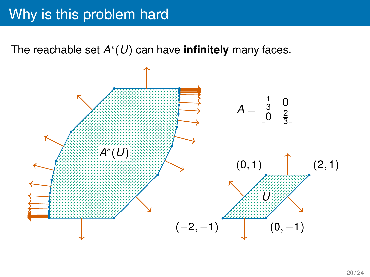The reachable set *A* ∗ (*U*) can have **infinitely** many faces.

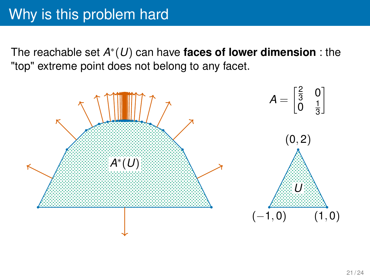The reachable set *A* ∗ (*U*) can have **faces of lower dimension** : the "top" extreme point does not belong to any facet.

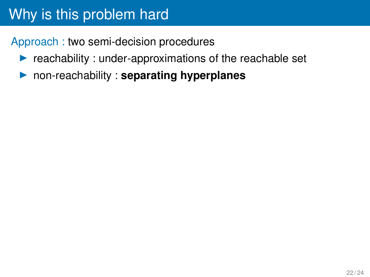Approach : two semi-decision procedures

- $\blacktriangleright$  reachability : under-approximations of the reachable set
- ▶ non-reachability : **separating hyperplanes**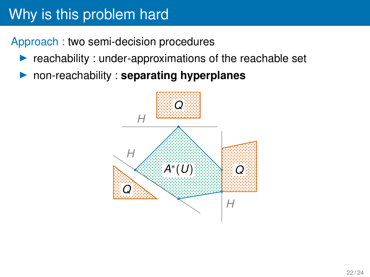Approach : two semi-decision procedures

- $\blacktriangleright$  reachability : under-approximations of the reachable set
- ▶ non-reachability : **separating hyperplanes**

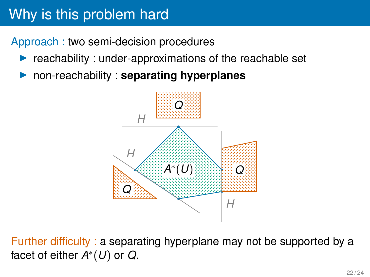Approach : two semi-decision procedures

- reachability : under-approximations of the reachable set
- ▶ non-reachability : **separating hyperplanes**



Further difficulty : a separating hyperplane may not be supported by a facet of either *A* ∗ (*U*) or *Q*.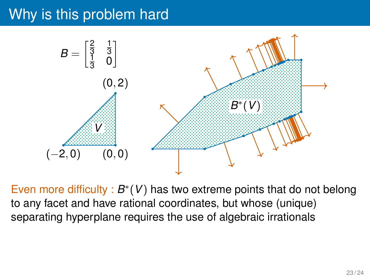

Even more difficulty :  $B^*(V)$  has two extreme points that do not belong to any facet and have rational coordinates, but whose (unique) separating hyperplane requires the use of algebraic irrationals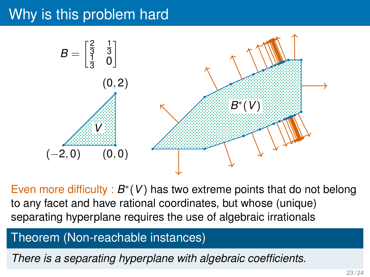

Even more difficulty :  $B^*(V)$  has two extreme points that do not belong to any facet and have rational coordinates, but whose (unique) separating hyperplane requires the use of algebraic irrationals

#### Theorem (Non-reachable instances)

*There is a separating hyperplane with algebraic coefficients.*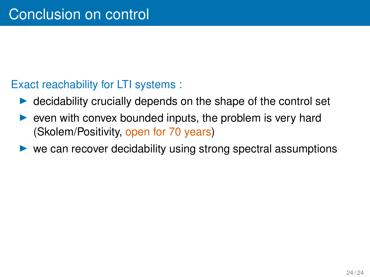#### Exact reachability for LTI systems :

- $\triangleright$  decidability crucially depends on the shape of the control set
- even with convex bounded inputs, the problem is very hard (Skolem/Positivity, open for 70 years)
- ▶ we can recover decidability using strong spectral assumptions